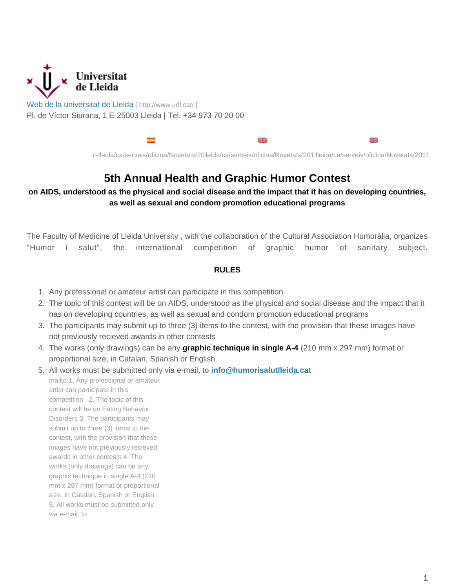

[Web de la universitat de Lleida](http://www.udl.cat/) [ http://www.udl.cat/ ] Pl. de Víctor Siurana, 1 E-25003 Lleida | Tel. +34 973 70 20 00



/sites/universitat-lleida/ca/serveis/oficina/Novetats/2011/humorisalut/ /sites/universitat-lleida/ca/serveis/oficina/Novetats/2011/humorisalut\_en/ /sites/universitat-lleida/ca/serveis/oficina/Novetats/2011/humorisalut\_es/

## **5th Annual Health and Graphic Humor Contest**

**on AIDS, understood as the physical and social disease and the impact that it has on developing countries, as well as sexual and condom promotion educational programs**

The Faculty of Medicine of Lleida University , with the collaboration of the Cultural Association Humoràlia, organizes "Humor i salut", the international competition of graphic humor of sanitary subject.

## **RULES**

- 1. Any professional or amateur artist can participate in this competition.
- 2. The topic of this contest will be on AIDS, understood as the physical and social disease and the impact that it has on developing countries, as well as sexual and condom promotion educational programs
- 3. The participants may submit up to three (3) items to the contest, with the provision that these images have not previously recieved awards in other contests
- 4. The works (only drawings) can be any **graphic technique in single A-4** (210 mm x 297 mm) format or proportional size, in Catalan, Spanish or English.
- 5. All works must be submitted only via e-mail, to **info@humorisalutlleida.cat** mailto:1. Any professional or amateur artist can participate in this competition. 2. The topic of this

contest will be on Eating Behavior Disorders 3. The participants may submit up to three (3) items to the contest, with the provision that these images have not previously recieved awards in other contests 4. The works (only drawings) can be any graphic technique in single A-4 (210 mm x 297 mm) format or proportional size, in Catalan, Spanish or English. 5. All works must be submitted only via e-mail, to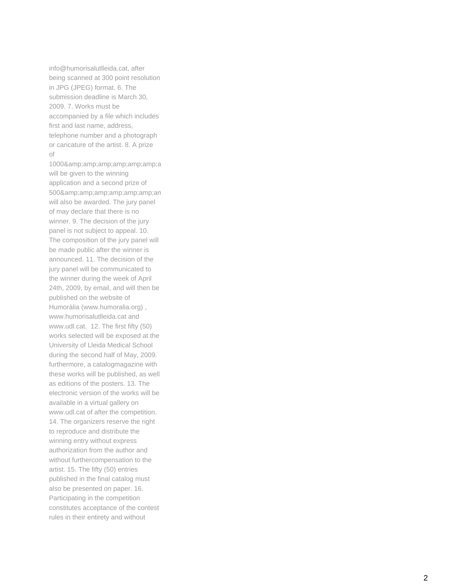info@humorisalutlleida.cat, after being scanned at 300 point resolution in JPG (JPEG) format. 6. The submission deadline is March 30, 2009. 7. Works must be accompanied by a file which includes first and last name, address, telephone number and a photograph or caricature of the artist. 8. A prize of

1000&a will be given to the winning application and a second prize of 500&an will also be awarded. The jury panel of may declare that there is no winner. 9. The decision of the jury panel is not subject to appeal. 10. The composition of the jury panel will be made public after the winner is announced. 11. The decision of the jury panel will be communicated to the winner during the week of April 24th, 2009, by email, and will then be published on the website of Humoràlia (www.humoralia.org) , www.humorisalutlleida.cat and www.udl.cat. 12. The first fifty (50) works selected will be exposed at the University of Lleida Medical School during the second half of May, 2009. furthermore, a catalogmagazine with these works will be published, as well as editions of the posters. 13. The electronic version of the works will be available in a virtual gallery on www.udl.cat of after the competition. 14. The organizers reserve the right to reproduce and distribute the winning entry without express authorization from the author and without furthercompensation to the artist. 15. The fifty (50) entries published in the final catalog must also be presented on paper. 16. Participating in the competition constitutes acceptance of the contest rules in their entirety and without